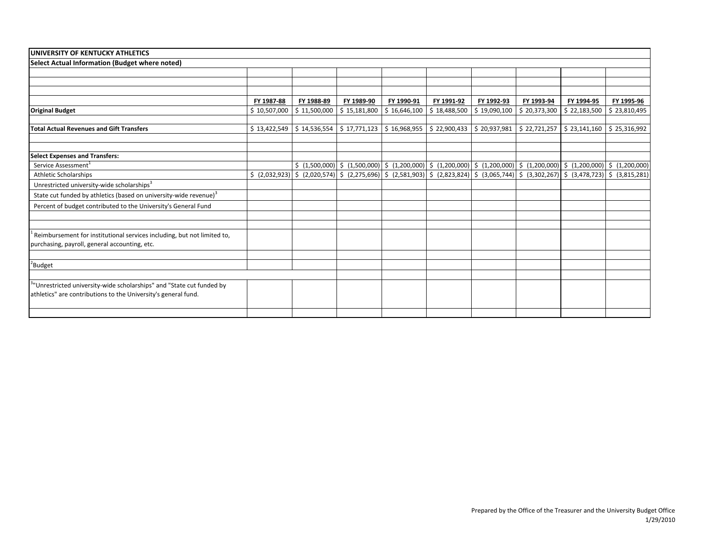| <b>UNIVERSITY OF KENTUCKY ATHLETICS</b>                                                                                                |              |              |                             |              |                                                                                                                                                                                                                                                                                                       |              |              |                                           |              |
|----------------------------------------------------------------------------------------------------------------------------------------|--------------|--------------|-----------------------------|--------------|-------------------------------------------------------------------------------------------------------------------------------------------------------------------------------------------------------------------------------------------------------------------------------------------------------|--------------|--------------|-------------------------------------------|--------------|
| Select Actual Information (Budget where noted)                                                                                         |              |              |                             |              |                                                                                                                                                                                                                                                                                                       |              |              |                                           |              |
|                                                                                                                                        |              |              |                             |              |                                                                                                                                                                                                                                                                                                       |              |              |                                           |              |
|                                                                                                                                        |              |              |                             |              |                                                                                                                                                                                                                                                                                                       |              |              |                                           |              |
|                                                                                                                                        |              |              |                             |              |                                                                                                                                                                                                                                                                                                       |              |              |                                           |              |
|                                                                                                                                        | FY 1987-88   | FY 1988-89   | FY 1989-90                  | FY 1990-91   | FY 1991-92                                                                                                                                                                                                                                                                                            | FY 1992-93   | FY 1993-94   | FY 1994-95                                | FY 1995-96   |
| <b>Original Budget</b>                                                                                                                 | \$10,507,000 | \$11,500,000 | \$15,181,800                | \$16,646,100 | \$18,488,500                                                                                                                                                                                                                                                                                          | \$19,090,100 | \$20,373,300 | \$22,183,500                              | \$23,810,495 |
| <b>Total Actual Revenues and Gift Transfers</b>                                                                                        | \$13,422,549 |              | $$14,536,554$ $$17,771,123$ |              | $$16,968,955$ $$22,900,433$ $$20,937,981$                                                                                                                                                                                                                                                             |              |              | $$22,721,257$ $$23,141,160$ $$25,316,992$ |              |
| <b>Select Expenses and Transfers:</b>                                                                                                  |              |              |                             |              |                                                                                                                                                                                                                                                                                                       |              |              |                                           |              |
| Service Assessment <sup>1</sup>                                                                                                        |              |              |                             |              | $\frac{1}{2}$ (1,500,000) $\frac{1}{2}$ (1,500,000) $\frac{1}{2}$ (1,200,000) $\frac{1}{2}$ (1,200,000) $\frac{1}{2}$ (1,200,000) $\frac{1}{2}$ (1,200,000) $\frac{1}{2}$ (1,200,000) $\frac{1}{2}$ (1,200,000)                                                                                       |              |              |                                           |              |
| <b>Athletic Scholarships</b>                                                                                                           |              |              |                             |              | $\left  \frac{1}{2}$ (2,032,923) $\left  \frac{1}{2}$ (2,020,574) $\left  \frac{1}{2}$ (2,275,696) $\left  \frac{1}{2}$ (2,581,903) $\left  \frac{1}{2}$ (2,823,824) $\left  \frac{1}{2}$ (3,065,744) $\left  \frac{1}{2}$ (3,302,267) $\left  \frac{1}{2}$ (3,478,723) $\left  \frac{1}{2}$ (3,815,2 |              |              |                                           |              |
| Unrestricted university-wide scholarships <sup>3</sup>                                                                                 |              |              |                             |              |                                                                                                                                                                                                                                                                                                       |              |              |                                           |              |
| State cut funded by athletics (based on university-wide revenue) <sup>3</sup>                                                          |              |              |                             |              |                                                                                                                                                                                                                                                                                                       |              |              |                                           |              |
| Percent of budget contributed to the University's General Fund                                                                         |              |              |                             |              |                                                                                                                                                                                                                                                                                                       |              |              |                                           |              |
| Reimbursement for institutional services including, but not limited to,                                                                |              |              |                             |              |                                                                                                                                                                                                                                                                                                       |              |              |                                           |              |
| purchasing, payroll, general accounting, etc.                                                                                          |              |              |                             |              |                                                                                                                                                                                                                                                                                                       |              |              |                                           |              |
| <sup>2</sup> Budget                                                                                                                    |              |              |                             |              |                                                                                                                                                                                                                                                                                                       |              |              |                                           |              |
| "Unrestricted university-wide scholarships" and "State cut funded by<br>athletics" are contributions to the University's general fund. |              |              |                             |              |                                                                                                                                                                                                                                                                                                       |              |              |                                           |              |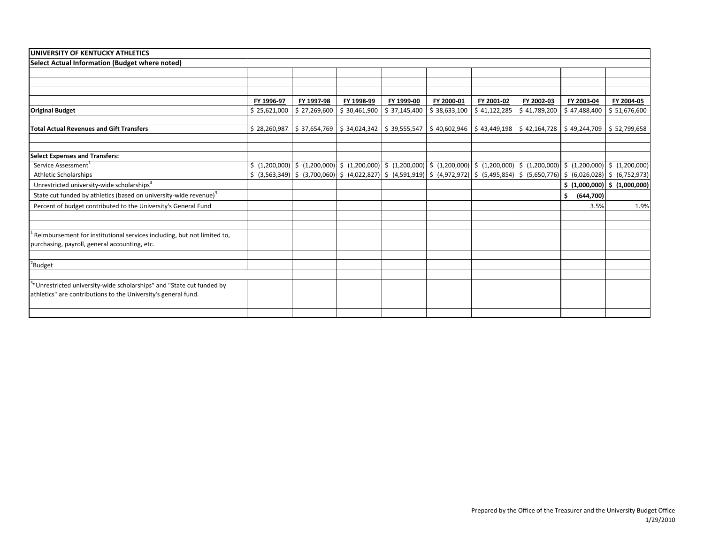| <b>UNIVERSITY OF KENTUCKY ATHLETICS</b>                                                                                                |              |              |                             |              |                                                                                                                                                                                                                                                                                                                                                                                                                                               |                             |              |                                           |                                                             |
|----------------------------------------------------------------------------------------------------------------------------------------|--------------|--------------|-----------------------------|--------------|-----------------------------------------------------------------------------------------------------------------------------------------------------------------------------------------------------------------------------------------------------------------------------------------------------------------------------------------------------------------------------------------------------------------------------------------------|-----------------------------|--------------|-------------------------------------------|-------------------------------------------------------------|
| Select Actual Information (Budget where noted)                                                                                         |              |              |                             |              |                                                                                                                                                                                                                                                                                                                                                                                                                                               |                             |              |                                           |                                                             |
|                                                                                                                                        |              |              |                             |              |                                                                                                                                                                                                                                                                                                                                                                                                                                               |                             |              |                                           |                                                             |
|                                                                                                                                        |              |              |                             |              |                                                                                                                                                                                                                                                                                                                                                                                                                                               |                             |              |                                           |                                                             |
|                                                                                                                                        |              |              |                             |              |                                                                                                                                                                                                                                                                                                                                                                                                                                               |                             |              |                                           |                                                             |
|                                                                                                                                        | FY 1996-97   | FY 1997-98   | FY 1998-99                  | FY 1999-00   | FY 2000-01                                                                                                                                                                                                                                                                                                                                                                                                                                    | FY 2001-02                  | FY 2002-03   | FY 2003-04                                | FY 2004-05                                                  |
| <b>Original Budget</b>                                                                                                                 | \$25,621,000 | \$27,269,600 | \$30,461,900                | \$37,145,400 | \$38,633,100                                                                                                                                                                                                                                                                                                                                                                                                                                  | \$41,122,285                | \$41,789,200 | \$47,488,400                              | \$ 51,676,600                                               |
| <b>Total Actual Revenues and Gift Transfers</b>                                                                                        | \$28,260,987 |              | $$37,654,769$ $$34,024,342$ | \$39,555,547 |                                                                                                                                                                                                                                                                                                                                                                                                                                               | $$40,602,946$ $$43,449,198$ |              | $$42,164,728$ $$49,244,709$ $$52,799,658$ |                                                             |
| <b>Select Expenses and Transfers:</b>                                                                                                  |              |              |                             |              |                                                                                                                                                                                                                                                                                                                                                                                                                                               |                             |              |                                           |                                                             |
| Service Assessment <sup>1</sup>                                                                                                        |              |              |                             |              | $\left  \begin{array}{c} \sin(1.200,000) \\ \sin(1.200,000) \end{array} \right $ $\left  \begin{array}{c} \sin(1.200,000) \\ \sin(1.200,000) \end{array} \right $ $\left  \begin{array}{c} \sin(1.200,000) \\ \sin(1.200,000) \end{array} \right $ $\left  \begin{array}{c} \sin(1.200,000) \\ \sin(1.200,000) \end{array} \right $ $\left  \begin{array}{c} \sin(1.200,000) \\ \sin(1$                                                       |                             |              |                                           |                                                             |
| <b>Athletic Scholarships</b>                                                                                                           |              |              |                             |              | $\left  \frac{1}{2} \left( \frac{1}{2} \right) \frac{1}{2} \left( \frac{1}{2} \right) \frac{1}{2} \left( \frac{1}{2} \left( \frac{1}{2} \right) \frac{1}{2} \left( \frac{1}{2} \right) \frac{1}{2} \left( \frac{1}{2} \right) \frac{1}{2} \left( \frac{1}{2} \right) \frac{1}{2} \left( \frac{1}{2} \right) \frac{1}{2} \left( \frac{1}{2} \right) \frac{1}{2} \left( \frac{1}{2} \right) \frac{1}{2} \left( \frac{1}{2} \right) \frac{1}{2}$ |                             |              |                                           |                                                             |
| Unrestricted university-wide scholarships <sup>3</sup>                                                                                 |              |              |                             |              |                                                                                                                                                                                                                                                                                                                                                                                                                                               |                             |              |                                           | $\vert \xi \vert$ (1,000,000) $\vert \xi \vert$ (1,000,000) |
| State cut funded by athletics (based on university-wide revenue) <sup>3</sup>                                                          |              |              |                             |              |                                                                                                                                                                                                                                                                                                                                                                                                                                               |                             |              | Ś.<br>(644, 700)                          |                                                             |
| Percent of budget contributed to the University's General Fund                                                                         |              |              |                             |              |                                                                                                                                                                                                                                                                                                                                                                                                                                               |                             |              | 3.5%                                      | 1.9%                                                        |
| Reimbursement for institutional services including, but not limited to,                                                                |              |              |                             |              |                                                                                                                                                                                                                                                                                                                                                                                                                                               |                             |              |                                           |                                                             |
| purchasing, payroll, general accounting, etc.                                                                                          |              |              |                             |              |                                                                                                                                                                                                                                                                                                                                                                                                                                               |                             |              |                                           |                                                             |
| <sup>2</sup> Budget                                                                                                                    |              |              |                             |              |                                                                                                                                                                                                                                                                                                                                                                                                                                               |                             |              |                                           |                                                             |
| "Unrestricted university-wide scholarships" and "State cut funded by<br>athletics" are contributions to the University's general fund. |              |              |                             |              |                                                                                                                                                                                                                                                                                                                                                                                                                                               |                             |              |                                           |                                                             |